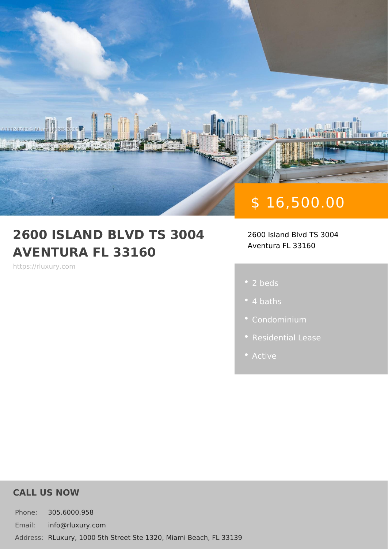# \$ 16,500.00

#### 2600 ISLAND BLVD TS 3004 2600 Island Blvd TS 3004 AVENTURA FL 33160 Aventura FL 33160

https://rluxury.com

- 2 beds
- 
- 
- 
- 

#### CALL US NOW

Phone: 305.6000.958 Email: info@rluxury.com Addres & Luxury, 1000 5th Street Ste 1320, Miami Beach, FL 33139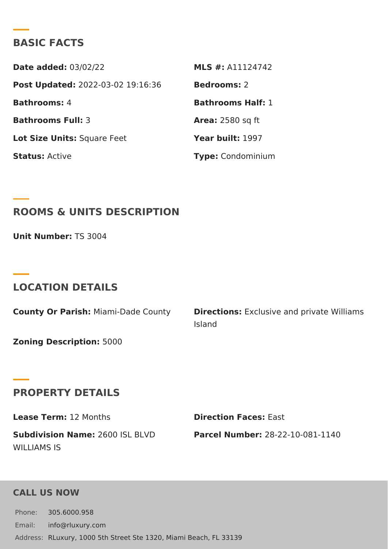#### BASIC FACTS

Date added: 3/02/22 MLS #: A11124742 Post Update @022-03-02 19:16:36Bedrooms2 Bathrooms 4 and Bathrooms Half: Bathrooms Fu8I: Area: 2580 sq ft Lot Size Unifsquare Feet Year built: 997 StatusActive Type Condominium

ROOMS & UNITS DESCRIPTION

Unit Number $\mathbb{F}S$  3004

#### LOCATION DETAILS

County Or Paris Miami-Dade Count Direction Exclusive and private Wil Island

Zoning Descripti6000

#### PROPERTY DETAILS

Lease Term1.2 Months **Direction FaceEssist** Subdivision Nam266:00 ISL BLVD Parcel Numbe28-22-10-081-1140 WILLIAMS IS

#### CALL US NOW

Phone: 305.6000.958 Email: info@rluxury.com Addres RLuxury, 1000 5th Street Ste 1320, Miami Beach, FL 33139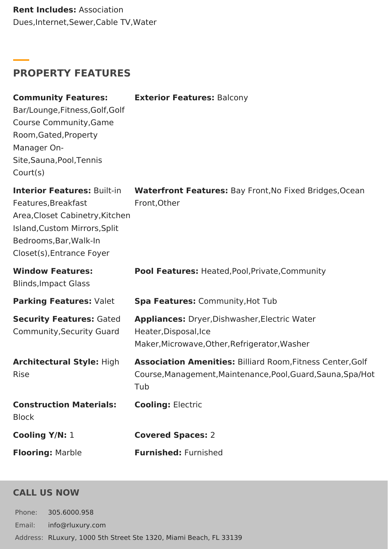**Rent Includes:** Association Dues,Internet,Sewer,Cable TV,Water

# **PROPERTY FEATURES**

| <b>Community Features:</b><br>Bar/Lounge, Fitness, Golf, Golf<br>Course Community, Game<br>Room, Gated, Property<br>Manager On-<br>Site, Sauna, Pool, Tennis<br>Court(s)             | <b>Exterior Features: Balcony</b>                                                                                                 |
|--------------------------------------------------------------------------------------------------------------------------------------------------------------------------------------|-----------------------------------------------------------------------------------------------------------------------------------|
| <b>Interior Features: Built-in</b><br>Features, Breakfast<br>Area, Closet Cabinetry, Kitchen<br>Island, Custom Mirrors, Split<br>Bedrooms, Bar, Walk-In<br>Closet(s), Entrance Foyer | Waterfront Features: Bay Front, No Fixed Bridges, Ocean<br>Front, Other                                                           |
| <b>Window Features:</b><br><b>Blinds, Impact Glass</b>                                                                                                                               | Pool Features: Heated, Pool, Private, Community                                                                                   |
| Parking Features: Valet                                                                                                                                                              | Spa Features: Community, Hot Tub                                                                                                  |
| <b>Security Features: Gated</b><br>Community, Security Guard                                                                                                                         | Appliances: Dryer, Dishwasher, Electric Water<br>Heater, Disposal, Ice<br>Maker, Microwave, Other, Refrigerator, Washer           |
| <b>Architectural Style: High</b><br>Rise                                                                                                                                             | Association Amenities: Billiard Room, Fitness Center, Golf<br>Course, Management, Maintenance, Pool, Guard, Sauna, Spa/Hot<br>Tub |
| <b>Construction Materials:</b><br><b>Block</b>                                                                                                                                       | <b>Cooling: Electric</b>                                                                                                          |
| Cooling Y/N: 1                                                                                                                                                                       | <b>Covered Spaces: 2</b>                                                                                                          |
| <b>Flooring: Marble</b>                                                                                                                                                              | <b>Furnished: Furnished</b>                                                                                                       |

## **CALL US NOW**

Phone: 305.6000.958 Email: info@rluxury.com Address: RLuxury, 1000 5th Street Ste 1320, Miami Beach, FL 33139